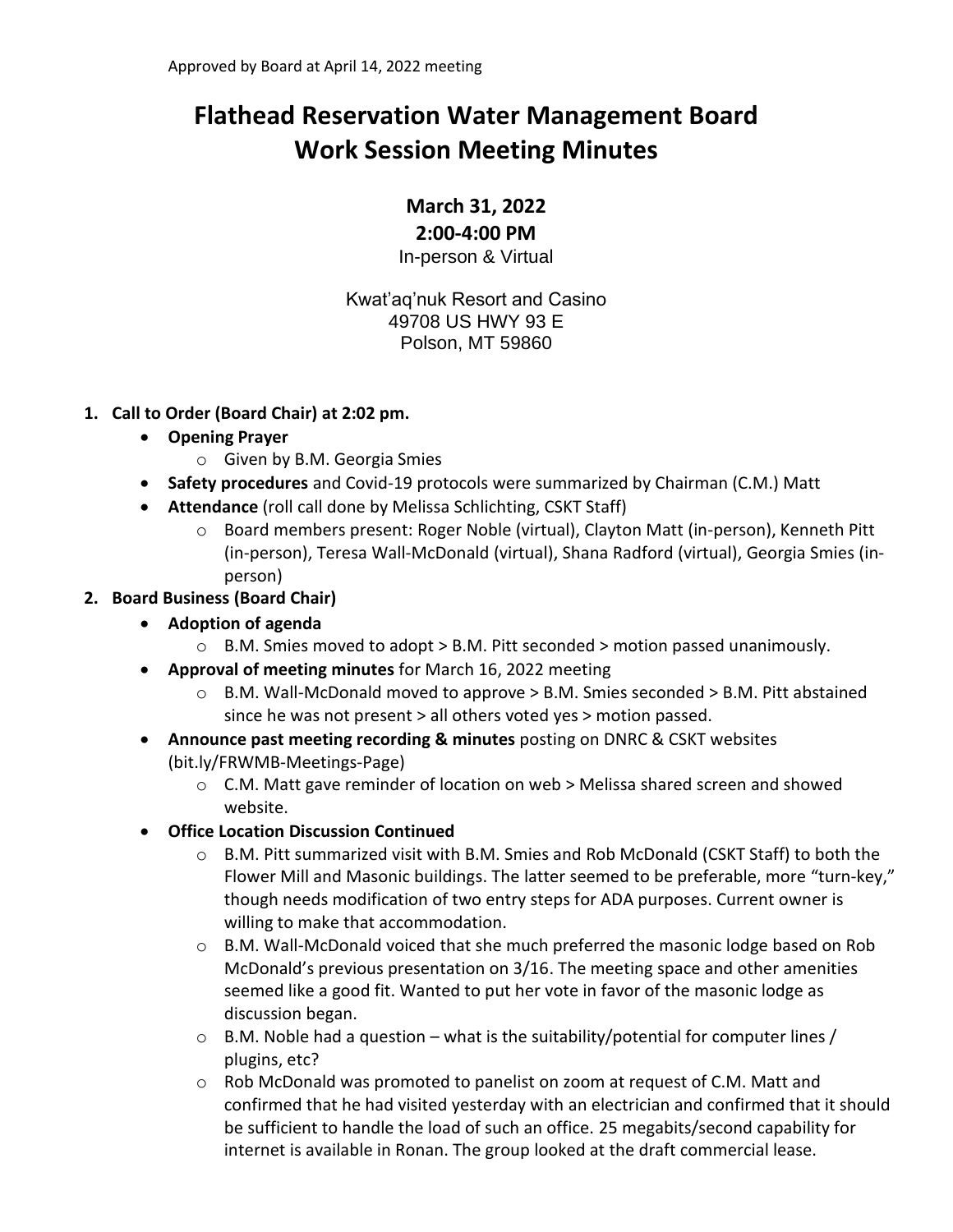# **Flathead Reservation Water Management Board Work Session Meeting Minutes**

## **March 31, 2022**

**2:00-4:00 PM**

In-person & Virtual

Kwat'aq'nuk Resort and Casino 49708 US HWY 93 E Polson, MT 59860

- **1. Call to Order (Board Chair) at 2:02 pm.** 
	- **Opening Prayer**
		- o Given by B.M. Georgia Smies
	- **Safety procedures** and Covid-19 protocols were summarized by Chairman (C.M.) Matt
	- **Attendance** (roll call done by Melissa Schlichting, CSKT Staff)
		- o Board members present: Roger Noble (virtual), Clayton Matt (in-person), Kenneth Pitt (in-person), Teresa Wall-McDonald (virtual), Shana Radford (virtual), Georgia Smies (inperson)
- **2. Board Business (Board Chair)**
	- **Adoption of agenda**
		- $\circ$  B.M. Smies moved to adopt > B.M. Pitt seconded > motion passed unanimously.
	- **Approval of meeting minutes** for March 16, 2022 meeting
		- $\circ$  B.M. Wall-McDonald moved to approve  $>$  B.M. Smies seconded  $>$  B.M. Pitt abstained since he was not present > all others voted yes > motion passed.
	- **Announce past meeting recording & minutes** posting on DNRC & CSKT websites (bit.ly/FRWMB-Meetings-Page)
		- $\circ$  C.M. Matt gave reminder of location on web > Melissa shared screen and showed website.
	- **Office Location Discussion Continued**
		- o B.M. Pitt summarized visit with B.M. Smies and Rob McDonald (CSKT Staff) to both the Flower Mill and Masonic buildings. The latter seemed to be preferable, more "turn-key," though needs modification of two entry steps for ADA purposes. Current owner is willing to make that accommodation.
		- $\circ$  B.M. Wall-McDonald voiced that she much preferred the masonic lodge based on Rob McDonald's previous presentation on 3/16. The meeting space and other amenities seemed like a good fit. Wanted to put her vote in favor of the masonic lodge as discussion began.
		- $\circ$  B.M. Noble had a question what is the suitability/potential for computer lines / plugins, etc?
		- $\circ$  Rob McDonald was promoted to panelist on zoom at request of C.M. Matt and confirmed that he had visited yesterday with an electrician and confirmed that it should be sufficient to handle the load of such an office. 25 megabits/second capability for internet is available in Ronan. The group looked at the draft commercial lease.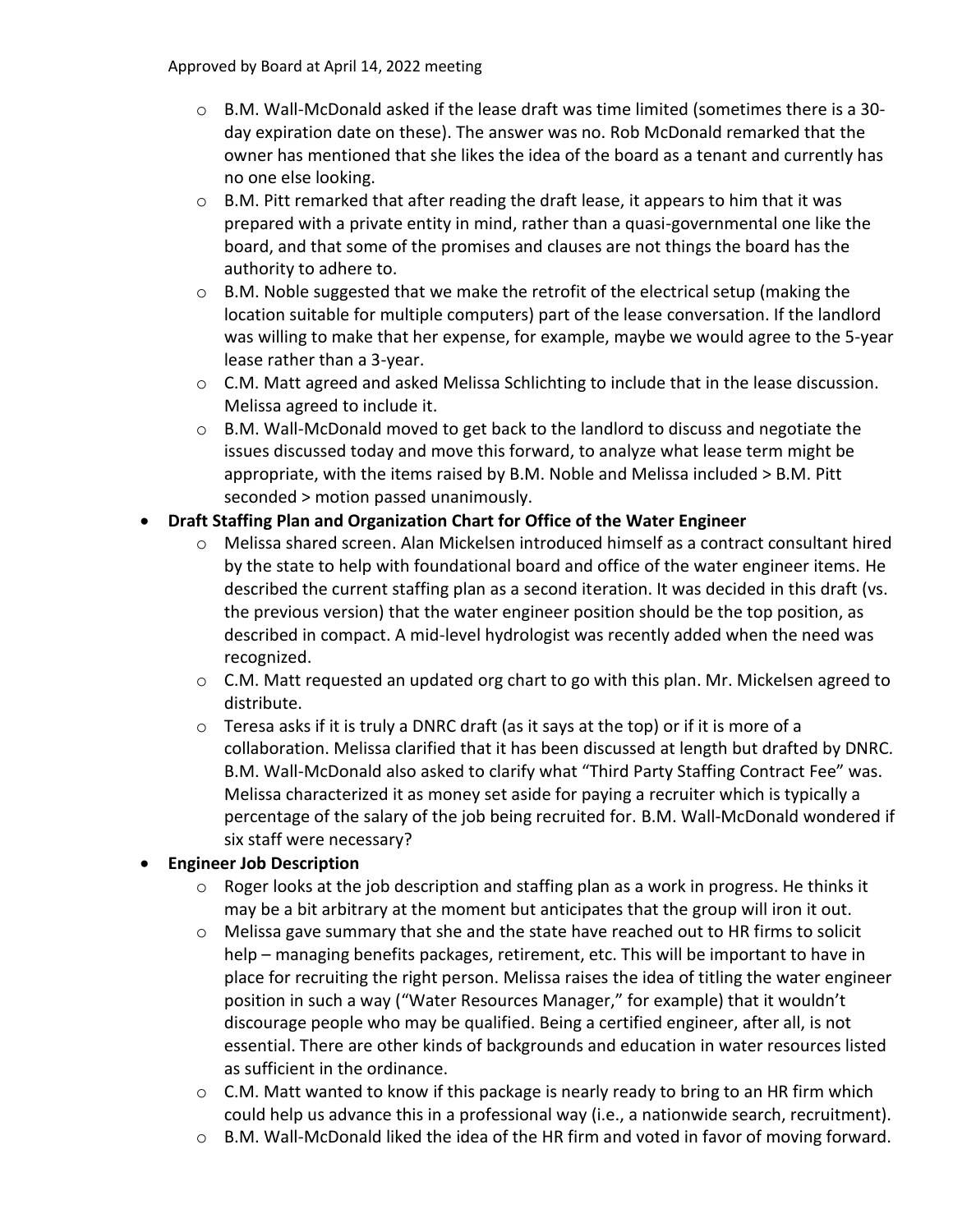Approved by Board at April 14, 2022 meeting

- $\circ$  B.M. Wall-McDonald asked if the lease draft was time limited (sometimes there is a 30day expiration date on these). The answer was no. Rob McDonald remarked that the owner has mentioned that she likes the idea of the board as a tenant and currently has no one else looking.
- $\circ$  B.M. Pitt remarked that after reading the draft lease, it appears to him that it was prepared with a private entity in mind, rather than a quasi-governmental one like the board, and that some of the promises and clauses are not things the board has the authority to adhere to.
- $\circ$  B.M. Noble suggested that we make the retrofit of the electrical setup (making the location suitable for multiple computers) part of the lease conversation. If the landlord was willing to make that her expense, for example, maybe we would agree to the 5-year lease rather than a 3-year.
- $\circ$  C.M. Matt agreed and asked Melissa Schlichting to include that in the lease discussion. Melissa agreed to include it.
- $\circ$  B.M. Wall-McDonald moved to get back to the landlord to discuss and negotiate the issues discussed today and move this forward, to analyze what lease term might be appropriate, with the items raised by B.M. Noble and Melissa included > B.M. Pitt seconded > motion passed unanimously.

## • **Draft Staffing Plan and Organization Chart for Office of the Water Engineer**

- o Melissa shared screen. Alan Mickelsen introduced himself as a contract consultant hired by the state to help with foundational board and office of the water engineer items. He described the current staffing plan as a second iteration. It was decided in this draft (vs. the previous version) that the water engineer position should be the top position, as described in compact. A mid-level hydrologist was recently added when the need was recognized.
- $\circ$  C.M. Matt requested an updated org chart to go with this plan. Mr. Mickelsen agreed to distribute.
- o Teresa asks if it is truly a DNRC draft (as it says at the top) or if it is more of a collaboration. Melissa clarified that it has been discussed at length but drafted by DNRC. B.M. Wall-McDonald also asked to clarify what "Third Party Staffing Contract Fee" was. Melissa characterized it as money set aside for paying a recruiter which is typically a percentage of the salary of the job being recruited for. B.M. Wall-McDonald wondered if six staff were necessary?

#### • **Engineer Job Description**

- $\circ$  Roger looks at the job description and staffing plan as a work in progress. He thinks it may be a bit arbitrary at the moment but anticipates that the group will iron it out.
- o Melissa gave summary that she and the state have reached out to HR firms to solicit help – managing benefits packages, retirement, etc. This will be important to have in place for recruiting the right person. Melissa raises the idea of titling the water engineer position in such a way ("Water Resources Manager," for example) that it wouldn't discourage people who may be qualified. Being a certified engineer, after all, is not essential. There are other kinds of backgrounds and education in water resources listed as sufficient in the ordinance.
- $\circ$  C.M. Matt wanted to know if this package is nearly ready to bring to an HR firm which could help us advance this in a professional way (i.e., a nationwide search, recruitment).
- o B.M. Wall-McDonald liked the idea of the HR firm and voted in favor of moving forward.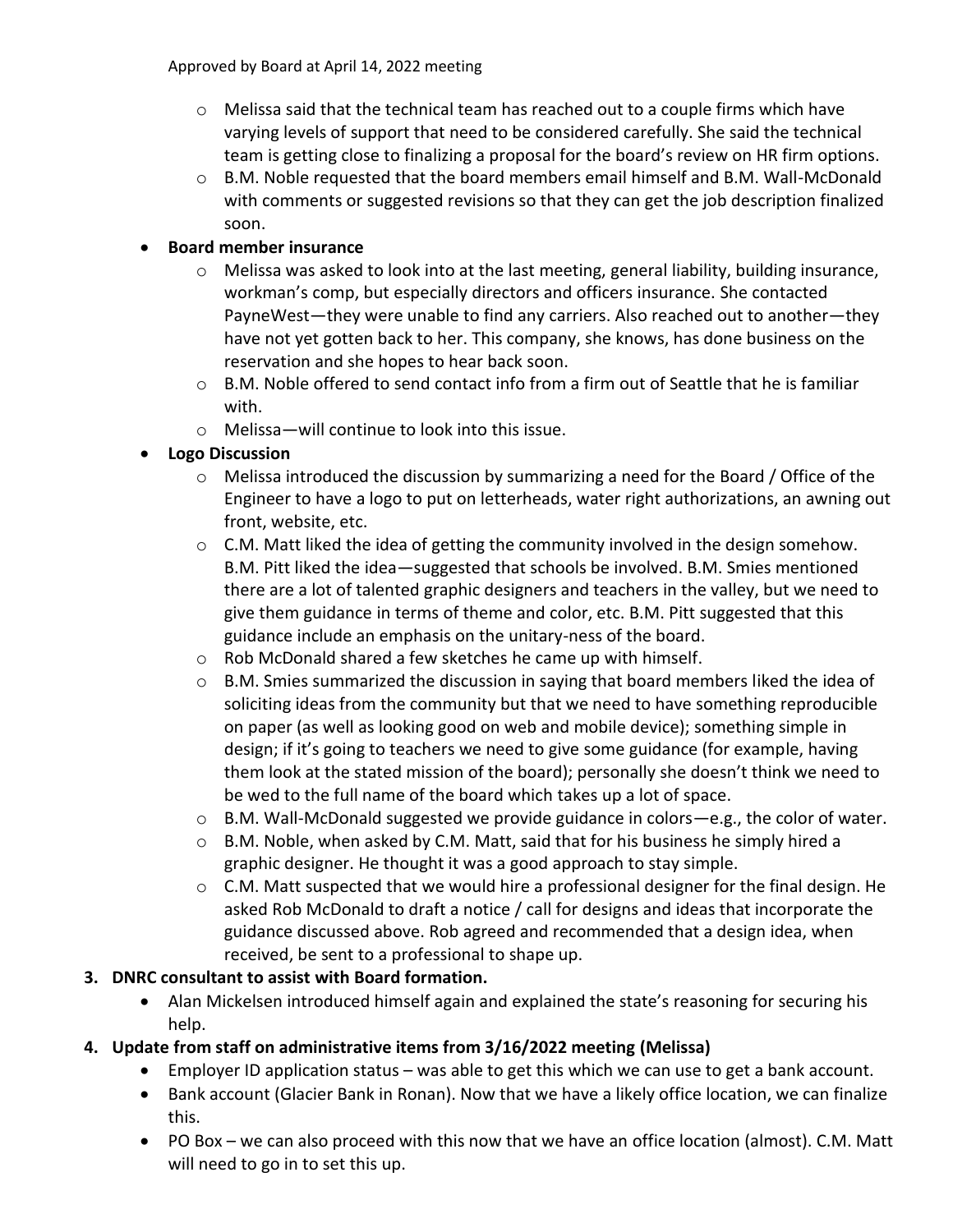Approved by Board at April 14, 2022 meeting

- $\circ$  Melissa said that the technical team has reached out to a couple firms which have varying levels of support that need to be considered carefully. She said the technical team is getting close to finalizing a proposal for the board's review on HR firm options.
- $\circ$  B.M. Noble requested that the board members email himself and B.M. Wall-McDonald with comments or suggested revisions so that they can get the job description finalized soon.

### • **Board member insurance**

- $\circ$  Melissa was asked to look into at the last meeting, general liability, building insurance, workman's comp, but especially directors and officers insurance. She contacted PayneWest—they were unable to find any carriers. Also reached out to another—they have not yet gotten back to her. This company, she knows, has done business on the reservation and she hopes to hear back soon.
- o B.M. Noble offered to send contact info from a firm out of Seattle that he is familiar with.
- o Melissa—will continue to look into this issue.

## • **Logo Discussion**

- $\circ$  Melissa introduced the discussion by summarizing a need for the Board / Office of the Engineer to have a logo to put on letterheads, water right authorizations, an awning out front, website, etc.
- $\circ$  C.M. Matt liked the idea of getting the community involved in the design somehow. B.M. Pitt liked the idea—suggested that schools be involved. B.M. Smies mentioned there are a lot of talented graphic designers and teachers in the valley, but we need to give them guidance in terms of theme and color, etc. B.M. Pitt suggested that this guidance include an emphasis on the unitary-ness of the board.
- o Rob McDonald shared a few sketches he came up with himself.
- $\circ$  B.M. Smies summarized the discussion in saying that board members liked the idea of soliciting ideas from the community but that we need to have something reproducible on paper (as well as looking good on web and mobile device); something simple in design; if it's going to teachers we need to give some guidance (for example, having them look at the stated mission of the board); personally she doesn't think we need to be wed to the full name of the board which takes up a lot of space.
- $\circ$  B.M. Wall-McDonald suggested we provide guidance in colors—e.g., the color of water.
- $\circ$  B.M. Noble, when asked by C.M. Matt, said that for his business he simply hired a graphic designer. He thought it was a good approach to stay simple.
- $\circ$  C.M. Matt suspected that we would hire a professional designer for the final design. He asked Rob McDonald to draft a notice / call for designs and ideas that incorporate the guidance discussed above. Rob agreed and recommended that a design idea, when received, be sent to a professional to shape up.

#### **3. DNRC consultant to assist with Board formation.**

• Alan Mickelsen introduced himself again and explained the state's reasoning for securing his help.

## **4. Update from staff on administrative items from 3/16/2022 meeting (Melissa)**

- Employer ID application status was able to get this which we can use to get a bank account.
- Bank account (Glacier Bank in Ronan). Now that we have a likely office location, we can finalize this.
- PO Box we can also proceed with this now that we have an office location (almost). C.M. Matt will need to go in to set this up.